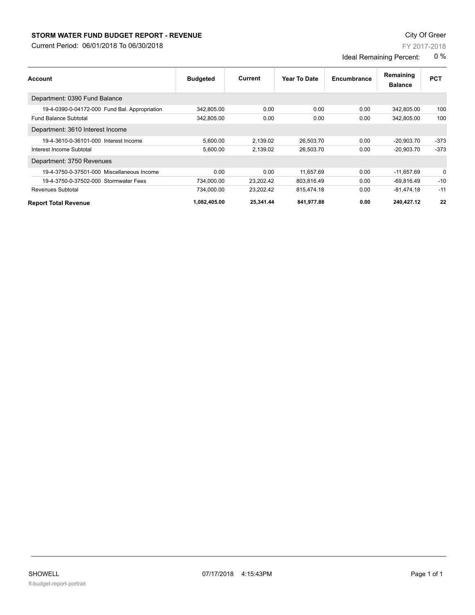## **STORM WATER FUND BUDGET REPORT - REVENUE CONTEXT AND REPORT ASSESSMENT OF A STORM WATER FUND BUDGET REPORT - REVENUE**

Current Period: 06/01/2018 To 06/30/2018

FY 2017-2018

Ideal Remaining Percent: 0 %

| Account                                       | <b>Budgeted</b> | Current   | Year To Date | Encumbrance | Remaining<br><b>Balance</b> | <b>PCT</b> |
|-----------------------------------------------|-----------------|-----------|--------------|-------------|-----------------------------|------------|
| Department: 0390 Fund Balance                 |                 |           |              |             |                             |            |
| 19-4-0390-0-04172-000 Fund Bal. Appropriation | 342.805.00      | 0.00      | 0.00         | 0.00        | 342,805.00                  | 100        |
| <b>Fund Balance Subtotal</b>                  | 342.805.00      | 0.00      | 0.00         | 0.00        | 342.805.00                  | 100        |
| Department: 3610 Interest Income              |                 |           |              |             |                             |            |
| 19-4-3610-0-36101-000 Interest Income         | 5,600.00        | 2,139.02  | 26,503.70    | 0.00        | $-20,903.70$                | $-373$     |
| Interest Income Subtotal                      | 5,600.00        | 2,139.02  | 26,503.70    | 0.00        | $-20,903.70$                | $-373$     |
| Department: 3750 Revenues                     |                 |           |              |             |                             |            |
| 19-4-3750-0-37501-000 Miscellaneous Income    | 0.00            | 0.00      | 11,657.69    | 0.00        | $-11,657.69$                | 0          |
| 19-4-3750-0-37502-000 Stormwater Fees         | 734,000.00      | 23,202.42 | 803,816.49   | 0.00        | $-69,816.49$                | $-10$      |
| Revenues Subtotal                             | 734,000.00      | 23,202.42 | 815,474.18   | 0.00        | $-81,474.18$                | $-11$      |
| <b>Report Total Revenue</b>                   | 1,082,405.00    | 25,341.44 | 841,977.88   | 0.00        | 240,427.12                  | 22         |